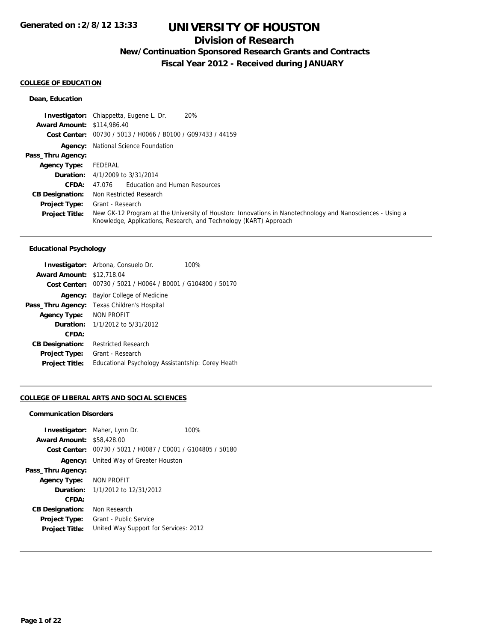## **Division of Research**

**New/Continuation Sponsored Research Grants and Contracts**

**Fiscal Year 2012 - Received during JANUARY**

### **COLLEGE OF EDUCATION**

## **Dean, Education**

|                                   | 20%<br><b>Investigator:</b> Chiappetta, Eugene L. Dr.                                                                                                                         |
|-----------------------------------|-------------------------------------------------------------------------------------------------------------------------------------------------------------------------------|
| <b>Award Amount: \$114,986.40</b> |                                                                                                                                                                               |
|                                   | Cost Center: 00730 / 5013 / H0066 / B0100 / G097433 / 44159                                                                                                                   |
|                                   | <b>Agency:</b> National Science Foundation                                                                                                                                    |
| Pass_Thru Agency:                 |                                                                                                                                                                               |
| <b>Agency Type:</b>               | FEDERAL                                                                                                                                                                       |
|                                   | <b>Duration:</b> $4/1/2009$ to $3/31/2014$                                                                                                                                    |
| CFDA:                             | <b>Education and Human Resources</b><br>47.076                                                                                                                                |
| <b>CB Designation:</b>            | Non Restricted Research                                                                                                                                                       |
| <b>Project Type:</b>              | Grant - Research                                                                                                                                                              |
| <b>Project Title:</b>             | New GK-12 Program at the University of Houston: Innovations in Nanotechnology and Nanosciences - Using a<br>Knowledge, Applications, Research, and Technology (KART) Approach |

## **Educational Psychology**

|                        | <b>Investigator:</b> Arbona, Consuelo Dr.<br>100% |  |  |
|------------------------|---------------------------------------------------|--|--|
| <b>Award Amount:</b>   | \$12,718.04                                       |  |  |
| Cost Center:           | 00730 / 5021 / H0064 / B0001 / G104800 / 50170    |  |  |
| Agency:                | Baylor College of Medicine                        |  |  |
| Pass_Thru Agency:      | Texas Children's Hospital                         |  |  |
| <b>Agency Type:</b>    | <b>NON PROFIT</b>                                 |  |  |
| Duration:              | 1/1/2012 to 5/31/2012                             |  |  |
| CFDA:                  |                                                   |  |  |
| <b>CB Designation:</b> | <b>Restricted Research</b>                        |  |  |
| <b>Project Type:</b>   | Grant - Research                                  |  |  |
| <b>Project Title:</b>  | Educational Psychology Assistantship: Corey Heath |  |  |

## **COLLEGE OF LIBERAL ARTS AND SOCIAL SCIENCES**

#### **Communication Disorders**

|                                  | <b>Investigator:</b> Maher, Lynn Dr.           | 100% |  |
|----------------------------------|------------------------------------------------|------|--|
| <b>Award Amount: \$58,428.00</b> |                                                |      |  |
| Cost Center:                     | 00730 / 5021 / H0087 / C0001 / G104805 / 50180 |      |  |
|                                  | <b>Agency:</b> United Way of Greater Houston   |      |  |
| Pass_Thru Agency:                |                                                |      |  |
| <b>Agency Type:</b>              | NON PROFIT                                     |      |  |
|                                  | <b>Duration:</b> $1/1/2012$ to $12/31/2012$    |      |  |
| CFDA:                            |                                                |      |  |
| <b>CB Designation:</b>           | Non Research                                   |      |  |
| <b>Project Type:</b>             | Grant - Public Service                         |      |  |
| <b>Project Title:</b>            | United Way Support for Services: 2012          |      |  |
|                                  |                                                |      |  |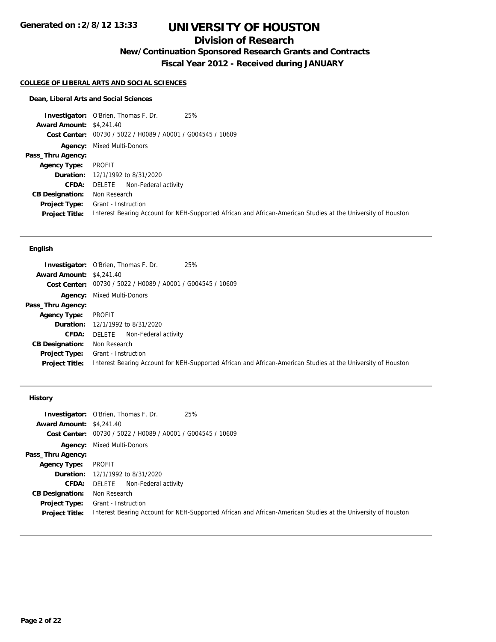## **Division of Research**

**New/Continuation Sponsored Research Grants and Contracts**

**Fiscal Year 2012 - Received during JANUARY**

#### **COLLEGE OF LIBERAL ARTS AND SOCIAL SCIENCES**

#### **Dean, Liberal Arts and Social Sciences**

**Investigator:** O'Brien, Thomas F. Dr. 25% **Award Amount:** \$4,241.40 **Cost Center:** 00730 / 5022 / H0089 / A0001 / G004545 / 10609 **Agency:** Mixed Multi-Donors **Pass\_Thru Agency: Agency Type:** PROFIT **Duration:** 12/1/1992 to 8/31/2020 **CFDA:** DELETE Non-Federal activity **CB Designation:** Non Research **Project Type:** Grant - Instruction **Project Title:** Interest Bearing Account for NEH-Supported African and African-American Studies at the University of Houston

## **English**

|                                 | 25%<br><b>Investigator:</b> O'Brien, Thomas F. Dr.                                                           |
|---------------------------------|--------------------------------------------------------------------------------------------------------------|
| <b>Award Amount: \$4,241.40</b> |                                                                                                              |
|                                 | Cost Center: 00730 / 5022 / H0089 / A0001 / G004545 / 10609                                                  |
|                                 | <b>Agency:</b> Mixed Multi-Donors                                                                            |
| Pass_Thru Agency:               |                                                                                                              |
| <b>Agency Type:</b>             | PROFIT                                                                                                       |
|                                 | <b>Duration:</b> 12/1/1992 to 8/31/2020                                                                      |
| CFDA:                           | Non-Federal activity<br>DELETE                                                                               |
| <b>CB Designation:</b>          | Non Research                                                                                                 |
| Project Type:                   | Grant - Instruction                                                                                          |
| <b>Project Title:</b>           | Interest Bearing Account for NEH-Supported African and African-American Studies at the University of Houston |

### **History**

| <b>Award Amount: \$4,241.40</b> | 25%<br><b>Investigator:</b> O'Brien, Thomas F. Dr.                                                           |
|---------------------------------|--------------------------------------------------------------------------------------------------------------|
|                                 | Cost Center: 00730 / 5022 / H0089 / A0001 / G004545 / 10609                                                  |
|                                 |                                                                                                              |
|                                 | <b>Agency:</b> Mixed Multi-Donors                                                                            |
| Pass_Thru Agency:               |                                                                                                              |
| Agency Type:                    | PROFIT                                                                                                       |
|                                 | <b>Duration:</b> 12/1/1992 to 8/31/2020                                                                      |
| CFDA:                           | DELETE Non-Federal activity                                                                                  |
| <b>CB Designation:</b>          | Non Research                                                                                                 |
| Project Type:                   | Grant - Instruction                                                                                          |
| <b>Project Title:</b>           | Interest Bearing Account for NEH-Supported African and African-American Studies at the University of Houston |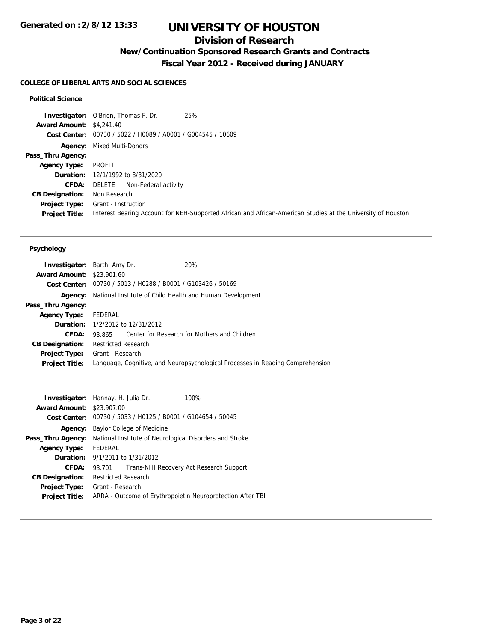## **Division of Research**

**New/Continuation Sponsored Research Grants and Contracts**

**Fiscal Year 2012 - Received during JANUARY**

## **COLLEGE OF LIBERAL ARTS AND SOCIAL SCIENCES**

## **Political Science**

|                                 | 25%<br><b>Investigator:</b> O'Brien, Thomas F. Dr.                                                           |
|---------------------------------|--------------------------------------------------------------------------------------------------------------|
| <b>Award Amount: \$4,241.40</b> |                                                                                                              |
|                                 | Cost Center: 00730 / 5022 / H0089 / A0001 / G004545 / 10609                                                  |
|                                 | <b>Agency:</b> Mixed Multi-Donors                                                                            |
| Pass_Thru Agency:               |                                                                                                              |
| <b>Agency Type:</b>             | PROFIT                                                                                                       |
|                                 | <b>Duration:</b> 12/1/1992 to 8/31/2020                                                                      |
| CFDA:                           | DELETE<br>Non-Federal activity                                                                               |
| <b>CB Designation:</b>          | Non Research                                                                                                 |
| Project Type:                   | Grant - Instruction                                                                                          |
| <b>Project Title:</b>           | Interest Bearing Account for NEH-Supported African and African-American Studies at the University of Houston |

### **Psychology**

| <b>Investigator:</b> Barth, Amy Dr. |                            |                                                             | 20%                                                                            |
|-------------------------------------|----------------------------|-------------------------------------------------------------|--------------------------------------------------------------------------------|
| <b>Award Amount: \$23,901.60</b>    |                            |                                                             |                                                                                |
|                                     |                            | Cost Center: 00730 / 5013 / H0288 / B0001 / G103426 / 50169 |                                                                                |
|                                     |                            |                                                             | <b>Agency:</b> National Institute of Child Health and Human Development        |
| Pass_Thru Agency:                   |                            |                                                             |                                                                                |
| <b>Agency Type:</b>                 | FEDERAL                    |                                                             |                                                                                |
|                                     |                            | <b>Duration:</b> 1/2/2012 to 12/31/2012                     |                                                                                |
| CFDA:                               |                            |                                                             | 93.865 Center for Research for Mothers and Children                            |
| <b>CB Designation:</b>              | <b>Restricted Research</b> |                                                             |                                                                                |
| Project Type:                       | Grant - Research           |                                                             |                                                                                |
| <b>Project Title:</b>               |                            |                                                             | Language, Cognitive, and Neuropsychological Processes in Reading Comprehension |
|                                     |                            |                                                             |                                                                                |

| <b>Investigator:</b> Hannay, H. Julia Dr. |                                                             |  | 100%                                                       |  |
|-------------------------------------------|-------------------------------------------------------------|--|------------------------------------------------------------|--|
| <b>Award Amount: \$23,907.00</b>          |                                                             |  |                                                            |  |
|                                           | Cost Center: 00730 / 5033 / H0125 / B0001 / G104654 / 50045 |  |                                                            |  |
| Agency:                                   | Baylor College of Medicine                                  |  |                                                            |  |
| Pass_Thru Agency:                         | National Institute of Neurological Disorders and Stroke     |  |                                                            |  |
| <b>Agency Type:</b>                       | <b>FFDFRAL</b>                                              |  |                                                            |  |
| Duration:                                 | 9/1/2011 to 1/31/2012                                       |  |                                                            |  |
| CFDA:                                     | 93.701                                                      |  | Trans-NIH Recovery Act Research Support                    |  |
| <b>CB Designation:</b>                    | <b>Restricted Research</b>                                  |  |                                                            |  |
| <b>Project Type:</b>                      | Grant - Research                                            |  |                                                            |  |
| <b>Project Title:</b>                     |                                                             |  | ARRA - Outcome of Erythropoietin Neuroprotection After TBI |  |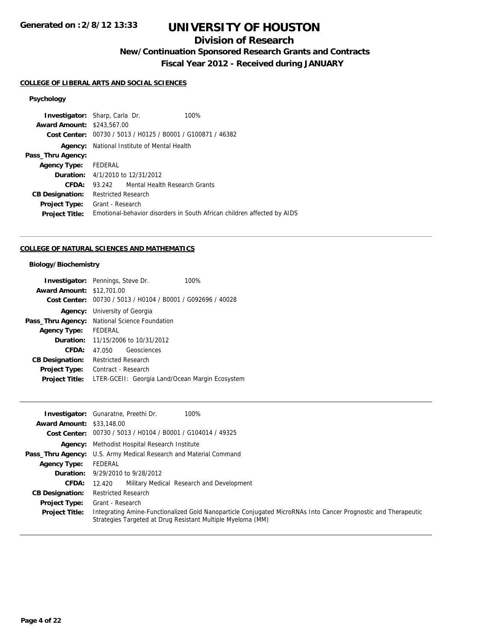## **Division of Research**

**New/Continuation Sponsored Research Grants and Contracts**

**Fiscal Year 2012 - Received during JANUARY**

## **COLLEGE OF LIBERAL ARTS AND SOCIAL SCIENCES**

## **Psychology**

|                                   | <b>Investigator:</b> Sharp, Carla Dr.                       | 100%                                                                    |
|-----------------------------------|-------------------------------------------------------------|-------------------------------------------------------------------------|
| <b>Award Amount: \$243,567.00</b> |                                                             |                                                                         |
|                                   | Cost Center: 00730 / 5013 / H0125 / B0001 / G100871 / 46382 |                                                                         |
|                                   | <b>Agency:</b> National Institute of Mental Health          |                                                                         |
| Pass_Thru Agency:                 |                                                             |                                                                         |
| Agency Type:                      | FEDERAL                                                     |                                                                         |
|                                   | <b>Duration:</b> $4/1/2010$ to $12/31/2012$                 |                                                                         |
| CFDA:                             | 93.242                                                      | Mental Health Research Grants                                           |
| <b>CB Designation:</b>            | <b>Restricted Research</b>                                  |                                                                         |
| <b>Project Type:</b>              | Grant - Research                                            |                                                                         |
| <b>Project Title:</b>             |                                                             | Emotional-behavior disorders in South African children affected by AIDS |
|                                   |                                                             |                                                                         |

## **COLLEGE OF NATURAL SCIENCES AND MATHEMATICS**

## **Biology/Biochemistry**

|                                  | <b>Investigator:</b> Pennings, Steve Dr.      | 100%                                                        |  |
|----------------------------------|-----------------------------------------------|-------------------------------------------------------------|--|
| <b>Award Amount: \$12,701.00</b> |                                               |                                                             |  |
|                                  |                                               | Cost Center: 00730 / 5013 / H0104 / B0001 / G092696 / 40028 |  |
|                                  | <b>Agency:</b> University of Georgia          |                                                             |  |
|                                  | Pass_Thru Agency: National Science Foundation |                                                             |  |
| <b>Agency Type:</b>              | <b>FEDERAL</b>                                |                                                             |  |
| Duration:                        | 11/15/2006 to 10/31/2012                      |                                                             |  |
| CFDA:                            | Geosciences<br>47.050                         |                                                             |  |
| <b>CB Designation:</b>           | <b>Restricted Research</b>                    |                                                             |  |
| Project Type:                    | Contract - Research                           |                                                             |  |
| <b>Project Title:</b>            |                                               | LTER-GCEII: Georgia Land/Ocean Margin Ecosystem             |  |

|                                  | 100%<br><b>Investigator:</b> Gunaratne, Preethi Dr.                                                                                                                           |
|----------------------------------|-------------------------------------------------------------------------------------------------------------------------------------------------------------------------------|
| <b>Award Amount: \$33,148.00</b> |                                                                                                                                                                               |
|                                  | Cost Center: $00730 / 5013 / 40104 / 80001 / 6104014 / 49325$                                                                                                                 |
|                                  | <b>Agency:</b> Methodist Hospital Research Institute                                                                                                                          |
|                                  | <b>Pass_Thru Agency:</b> U.S. Army Medical Research and Material Command                                                                                                      |
| <b>Agency Type:</b>              | FEDERAL                                                                                                                                                                       |
|                                  | <b>Duration:</b> 9/29/2010 to 9/28/2012                                                                                                                                       |
| <b>CFDA:</b>                     | Military Medical Research and Development<br>12.420                                                                                                                           |
| <b>CB Designation:</b>           | <b>Restricted Research</b>                                                                                                                                                    |
| <b>Project Type:</b>             | Grant - Research                                                                                                                                                              |
| <b>Project Title:</b>            | Integrating Amine-Functionalized Gold Nanoparticle Conjugated MicroRNAs Into Cancer Prognostic and Therapeutic<br>Strategies Targeted at Drug Resistant Multiple Myeloma (MM) |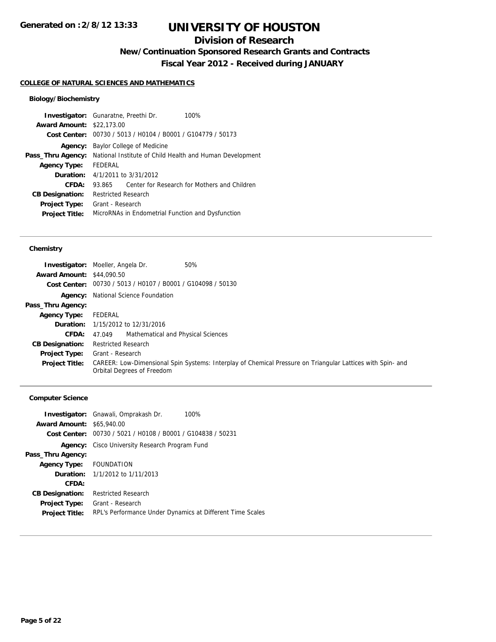## **Division of Research**

**New/Continuation Sponsored Research Grants and Contracts**

**Fiscal Year 2012 - Received during JANUARY**

#### **COLLEGE OF NATURAL SCIENCES AND MATHEMATICS**

## **Biology/Biochemistry**

| <b>Investigator:</b> Gunaratne, Preethi Dr. |                                                          |  | 100%                                                        |
|---------------------------------------------|----------------------------------------------------------|--|-------------------------------------------------------------|
| <b>Award Amount: \$22,173.00</b>            |                                                          |  |                                                             |
|                                             |                                                          |  | Cost Center: 00730 / 5013 / H0104 / B0001 / G104779 / 50173 |
| Agency:                                     | Baylor College of Medicine                               |  |                                                             |
| Pass_Thru Agency:                           | National Institute of Child Health and Human Development |  |                                                             |
| <b>Agency Type:</b>                         | FEDERAL                                                  |  |                                                             |
| Duration:                                   | 4/1/2011 to 3/31/2012                                    |  |                                                             |
| CFDA:                                       | 93.865                                                   |  | Center for Research for Mothers and Children                |
| <b>CB Designation:</b>                      | <b>Restricted Research</b>                               |  |                                                             |
| <b>Project Type:</b>                        | Grant - Research                                         |  |                                                             |
| <b>Project Title:</b>                       |                                                          |  | MicroRNAs in Endometrial Function and Dysfunction           |
|                                             |                                                          |  |                                                             |

### **Chemistry**

| <b>Award Amount: \$44,090.50</b> | <b>Investigator:</b> Moeller, Angela Dr.<br>50%                                                                                          |  |  |
|----------------------------------|------------------------------------------------------------------------------------------------------------------------------------------|--|--|
|                                  | Cost Center: 00730 / 5013 / H0107 / B0001 / G104098 / 50130                                                                              |  |  |
|                                  | <b>Agency:</b> National Science Foundation                                                                                               |  |  |
| Pass_Thru Agency:                |                                                                                                                                          |  |  |
| <b>Agency Type:</b>              | FEDERAL                                                                                                                                  |  |  |
|                                  | <b>Duration:</b> 1/15/2012 to 12/31/2016                                                                                                 |  |  |
| <b>CFDA:</b>                     | Mathematical and Physical Sciences<br>47.049                                                                                             |  |  |
| <b>CB Designation:</b>           | <b>Restricted Research</b>                                                                                                               |  |  |
| <b>Project Type:</b>             | Grant - Research                                                                                                                         |  |  |
| <b>Project Title:</b>            | CAREER: Low-Dimensional Spin Systems: Interplay of Chemical Pressure on Triangular Lattices with Spin- and<br>Orbital Degrees of Freedom |  |  |

## **Computer Science**

| <b>Award Amount: \$65,940.00</b> | <b>Investigator:</b> Gnawali, Omprakash Dr.<br>100%         |
|----------------------------------|-------------------------------------------------------------|
|                                  | Cost Center: 00730 / 5021 / H0108 / B0001 / G104838 / 50231 |
|                                  |                                                             |
| Agency:                          | Cisco University Research Program Fund                      |
| Pass_Thru Agency:                |                                                             |
| <b>Agency Type:</b>              | FOUNDATION                                                  |
|                                  | <b>Duration:</b> 1/1/2012 to 1/11/2013                      |
| CFDA:                            |                                                             |
| <b>CB Designation:</b>           | <b>Restricted Research</b>                                  |
| Project Type:                    | Grant - Research                                            |
| <b>Project Title:</b>            | RPL's Performance Under Dynamics at Different Time Scales   |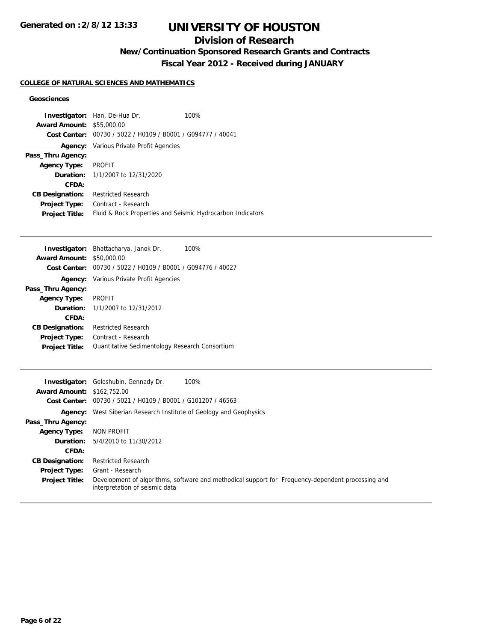## **Division of Research**

**New/Continuation Sponsored Research Grants and Contracts**

**Fiscal Year 2012 - Received during JANUARY**

## **COLLEGE OF NATURAL SCIENCES AND MATHEMATICS**

## **Geosciences**

|                        | <b>Investigator:</b> Han, De-Hua Dr.                       | 100% |  |
|------------------------|------------------------------------------------------------|------|--|
| <b>Award Amount:</b>   | \$55,000.00                                                |      |  |
| Cost Center:           | 00730 / 5022 / H0109 / B0001 / G094777 / 40041             |      |  |
|                        | <b>Agency:</b> Various Private Profit Agencies             |      |  |
| Pass_Thru Agency:      |                                                            |      |  |
| <b>Agency Type:</b>    | <b>PROFIT</b>                                              |      |  |
|                        | <b>Duration:</b> 1/1/2007 to 12/31/2020                    |      |  |
| CFDA:                  |                                                            |      |  |
| <b>CB Designation:</b> | <b>Restricted Research</b>                                 |      |  |
| <b>Project Type:</b>   | Contract - Research                                        |      |  |
| <b>Project Title:</b>  | Fluid & Rock Properties and Seismic Hydrocarbon Indicators |      |  |

| <b>Investigator:</b> Bhattacharya, Janok Dr.<br>100%        |  |
|-------------------------------------------------------------|--|
| <b>Award Amount: \$50,000.00</b>                            |  |
| Cost Center: 00730 / 5022 / H0109 / B0001 / G094776 / 40027 |  |
| <b>Agency:</b> Various Private Profit Agencies              |  |
|                                                             |  |
| <b>PROFIT</b>                                               |  |
| <b>Duration:</b> $1/1/2007$ to $12/31/2012$                 |  |
|                                                             |  |
| <b>Restricted Research</b>                                  |  |
| Contract - Research                                         |  |
| Quantitative Sedimentology Research Consortium              |  |
|                                                             |  |

|                                   | 100%<br><b>Investigator:</b> Goloshubin, Gennady Dr.                                                                                |  |  |
|-----------------------------------|-------------------------------------------------------------------------------------------------------------------------------------|--|--|
| <b>Award Amount: \$162,752.00</b> |                                                                                                                                     |  |  |
|                                   | Cost Center: 00730 / 5021 / H0109 / B0001 / G101207 / 46563                                                                         |  |  |
|                                   | <b>Agency:</b> West Siberian Research Institute of Geology and Geophysics                                                           |  |  |
| Pass_Thru Agency:                 |                                                                                                                                     |  |  |
| <b>Agency Type:</b>               | NON PROFIT                                                                                                                          |  |  |
| <b>Duration:</b>                  | 5/4/2010 to 11/30/2012                                                                                                              |  |  |
| CFDA:                             |                                                                                                                                     |  |  |
| <b>CB Designation:</b>            | <b>Restricted Research</b>                                                                                                          |  |  |
| <b>Project Type:</b>              | Grant - Research                                                                                                                    |  |  |
| <b>Project Title:</b>             | Development of algorithms, software and methodical support for Frequency-dependent processing and<br>interpretation of seismic data |  |  |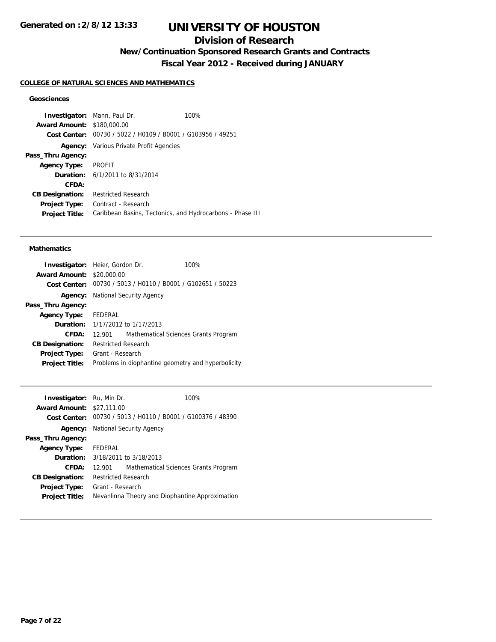## **Division of Research**

**New/Continuation Sponsored Research Grants and Contracts**

**Fiscal Year 2012 - Received during JANUARY**

#### **COLLEGE OF NATURAL SCIENCES AND MATHEMATICS**

## **Geosciences**

**Investigator:** Mann, Paul Dr. 100% **Award Amount:** \$180,000.00 **Cost Center:** 00730 / 5022 / H0109 / B0001 / G103956 / 49251 **Agency:** Various Private Profit Agencies **Pass\_Thru Agency: Agency Type:** PROFIT **Duration:** 6/1/2011 to 8/31/2014 **CFDA: CB Designation:** Restricted Research **Project Type:** Contract - Research **Project Title:** Caribbean Basins, Tectonics, and Hydrocarbons - Phase III

#### **Mathematics**

| <b>Investigator:</b> Heier, Gordon Dr. |                                                             |  | 100%                                 |
|----------------------------------------|-------------------------------------------------------------|--|--------------------------------------|
| <b>Award Amount:</b>                   | \$20,000.00                                                 |  |                                      |
|                                        | Cost Center: 00730 / 5013 / H0110 / B0001 / G102651 / 50223 |  |                                      |
|                                        | <b>Agency:</b> National Security Agency                     |  |                                      |
| Pass_Thru Agency:                      |                                                             |  |                                      |
| <b>Agency Type:</b>                    | FEDERAL                                                     |  |                                      |
|                                        | <b>Duration:</b> $1/17/2012$ to $1/17/2013$                 |  |                                      |
| CFDA:                                  | 12.901                                                      |  | Mathematical Sciences Grants Program |
| <b>CB Designation:</b>                 | <b>Restricted Research</b>                                  |  |                                      |
| <b>Project Type:</b>                   | Grant - Research                                            |  |                                      |
| <b>Project Title:</b>                  | Problems in diophantine geometry and hyperbolicity          |  |                                      |

| <b>Investigator:</b> Ru, Min Dr. |                                                 | 100%                                 |  |
|----------------------------------|-------------------------------------------------|--------------------------------------|--|
| <b>Award Amount: \$27,111.00</b> |                                                 |                                      |  |
| Cost Center:                     | 00730 / 5013 / H0110 / B0001 / G100376 / 48390  |                                      |  |
| Agency:                          | National Security Agency                        |                                      |  |
| Pass_Thru Agency:                |                                                 |                                      |  |
| <b>Agency Type:</b>              | FEDERAL                                         |                                      |  |
| Duration:                        | 3/18/2011 to 3/18/2013                          |                                      |  |
| CFDA:                            | 12.901                                          | Mathematical Sciences Grants Program |  |
| <b>CB Designation:</b>           | <b>Restricted Research</b>                      |                                      |  |
| <b>Project Type:</b>             | Grant - Research                                |                                      |  |
| <b>Project Title:</b>            | Nevanlinna Theory and Diophantine Approximation |                                      |  |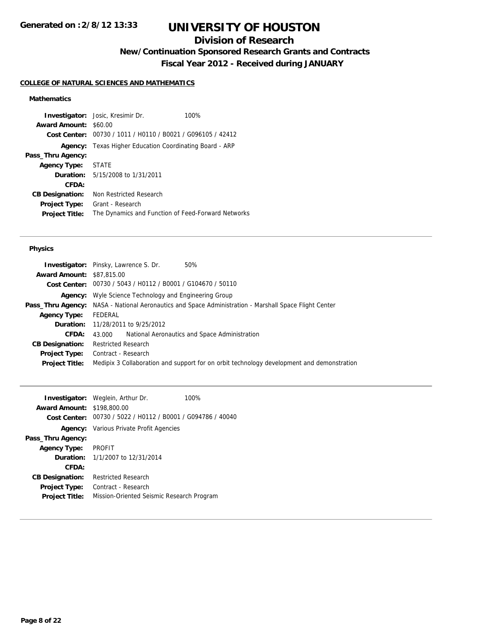## **Division of Research**

**New/Continuation Sponsored Research Grants and Contracts**

**Fiscal Year 2012 - Received during JANUARY**

## **COLLEGE OF NATURAL SCIENCES AND MATHEMATICS**

## **Mathematics**

|                              | <b>Investigator:</b> Josic, Kresimir Dr.                    | 100% |
|------------------------------|-------------------------------------------------------------|------|
| <b>Award Amount: \$60.00</b> |                                                             |      |
|                              | Cost Center: 00730 / 1011 / H0110 / B0021 / G096105 / 42412 |      |
| Agency:                      | Texas Higher Education Coordinating Board - ARP             |      |
| Pass_Thru Agency:            |                                                             |      |
| <b>Agency Type: STATE</b>    |                                                             |      |
|                              | <b>Duration:</b> 5/15/2008 to 1/31/2011                     |      |
| CFDA:                        |                                                             |      |
| <b>CB Designation:</b>       | Non Restricted Research                                     |      |
| <b>Project Type:</b>         | Grant - Research                                            |      |
| <b>Project Title:</b>        | The Dynamics and Function of Feed-Forward Networks          |      |

### **Physics**

|                                  | <b>Investigator:</b> Pinsky, Lawrence S. Dr.<br>50%                                                          |  |  |
|----------------------------------|--------------------------------------------------------------------------------------------------------------|--|--|
| <b>Award Amount: \$87,815.00</b> |                                                                                                              |  |  |
|                                  | Cost Center: 00730 / 5043 / H0112 / B0001 / G104670 / 50110                                                  |  |  |
|                                  | <b>Agency:</b> Wyle Science Technology and Engineering Group                                                 |  |  |
|                                  | <b>Pass_Thru Agency:</b> NASA - National Aeronautics and Space Administration - Marshall Space Flight Center |  |  |
| <b>Agency Type:</b>              | FEDERAL                                                                                                      |  |  |
|                                  | <b>Duration:</b> 11/28/2011 to 9/25/2012                                                                     |  |  |
| CFDA:                            | National Aeronautics and Space Administration<br>43.000                                                      |  |  |
| <b>CB Designation:</b>           | <b>Restricted Research</b>                                                                                   |  |  |
| <b>Project Type:</b>             | Contract - Research                                                                                          |  |  |
| <b>Project Title:</b>            | Medipix 3 Collaboration and support for on orbit technology development and demonstration                    |  |  |
|                                  |                                                                                                              |  |  |

|                                   | <b>Investigator:</b> Weglein, Arthur Dr.                    | 100% |
|-----------------------------------|-------------------------------------------------------------|------|
| <b>Award Amount: \$198,800.00</b> |                                                             |      |
|                                   | Cost Center: 00730 / 5022 / H0112 / B0001 / G094786 / 40040 |      |
|                                   | <b>Agency:</b> Various Private Profit Agencies              |      |
| Pass_Thru Agency:                 |                                                             |      |
| <b>Agency Type:</b>               | <b>PROFIT</b>                                               |      |
|                                   | <b>Duration:</b> $1/1/2007$ to $12/31/2014$                 |      |
| CFDA:                             |                                                             |      |
| <b>CB Designation:</b>            | <b>Restricted Research</b>                                  |      |
| Project Type:                     | Contract - Research                                         |      |
| <b>Project Title:</b>             | Mission-Oriented Seismic Research Program                   |      |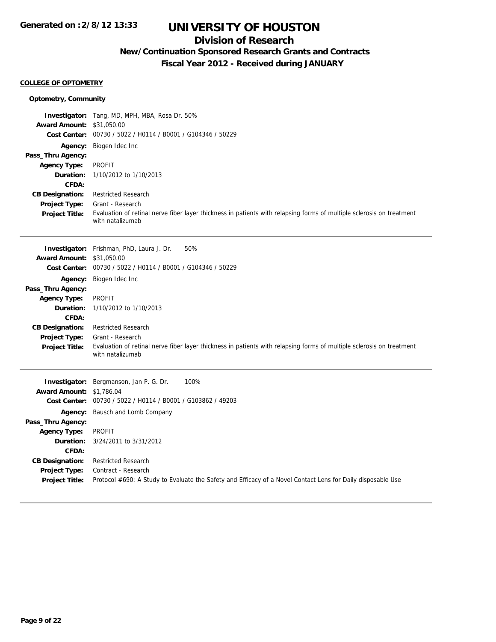## **Division of Research**

## **New/Continuation Sponsored Research Grants and Contracts**

**Fiscal Year 2012 - Received during JANUARY**

## **COLLEGE OF OPTOMETRY**

| <b>Optometry, Community</b>                                                                                                                                                   |                                                                                                                                                                                                                                                                                                                                                                                             |
|-------------------------------------------------------------------------------------------------------------------------------------------------------------------------------|---------------------------------------------------------------------------------------------------------------------------------------------------------------------------------------------------------------------------------------------------------------------------------------------------------------------------------------------------------------------------------------------|
| <b>Award Amount:</b><br><b>Cost Center:</b>                                                                                                                                   | <b>Investigator:</b> Tang, MD, MPH, MBA, Rosa Dr. 50%<br>\$31,050.00<br>00730 / 5022 / H0114 / B0001 / G104346 / 50229                                                                                                                                                                                                                                                                      |
| <b>Agency:</b><br>Pass_Thru Agency:<br><b>Agency Type:</b><br>Duration:<br>CFDA:<br><b>CB Designation:</b><br><b>Project Type:</b><br>Project Title:                          | Biogen Idec Inc<br><b>PROFIT</b><br>1/10/2012 to 1/10/2013<br><b>Restricted Research</b><br>Grant - Research<br>Evaluation of retinal nerve fiber layer thickness in patients with relapsing forms of multiple sclerosis on treatment<br>with natalizumab                                                                                                                                   |
| <b>Award Amount: \$31,050.00</b><br>Pass_Thru Agency:<br><b>Agency Type:</b><br>Duration:<br>CFDA:<br><b>CB Designation:</b><br><b>Project Type:</b><br><b>Project Title:</b> | 50%<br><b>Investigator:</b> Frishman, PhD, Laura J. Dr.<br>Cost Center: 00730 / 5022 / H0114 / B0001 / G104346 / 50229<br>Agency: Biogen Idec Inc<br><b>PROFIT</b><br>1/10/2012 to 1/10/2013<br><b>Restricted Research</b><br>Grant - Research<br>Evaluation of retinal nerve fiber layer thickness in patients with relapsing forms of multiple sclerosis on treatment<br>with natalizumab |
| <b>Award Amount: \$1,786.04</b><br>Pass_Thru Agency:<br><b>Agency Type:</b><br>Duration:<br>CFDA:<br><b>CB Designation:</b><br><b>Project Type:</b><br>Project Title:         | 100%<br>Investigator: Bergmanson, Jan P. G. Dr.<br>Cost Center: 00730 / 5022 / H0114 / B0001 / G103862 / 49203<br>Agency: Bausch and Lomb Company<br><b>PROFIT</b><br>3/24/2011 to 3/31/2012<br><b>Restricted Research</b><br>Contract - Research<br>Protocol #690: A Study to Evaluate the Safety and Efficacy of a Novel Contact Lens for Daily disposable Use                            |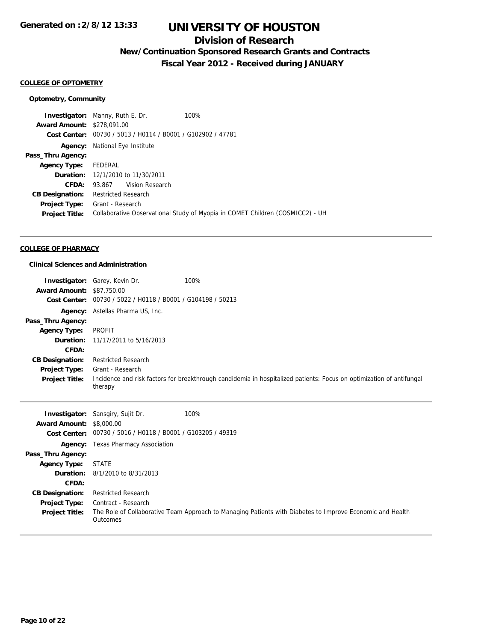## **Division of Research**

**New/Continuation Sponsored Research Grants and Contracts**

**Fiscal Year 2012 - Received during JANUARY**

## **COLLEGE OF OPTOMETRY**

#### **Optometry, Community**

**Investigator:** Manny, Ruth E. Dr. 100% **Award Amount:** \$278,091.00 **Cost Center:** 00730 / 5013 / H0114 / B0001 / G102902 / 47781 **Agency:** National Eye Institute **Pass\_Thru Agency: Agency Type:** FEDERAL **Duration:** 12/1/2010 to 11/30/2011 **CFDA:** 93.867 Vision Research **CB Designation:** Restricted Research **Project Type:** Grant - Research **Project Title:** Collaborative Observational Study of Myopia in COMET Children (COSMICC2) - UH

### **COLLEGE OF PHARMACY**

### **Clinical Sciences and Administration**

| <b>Award Amount:</b><br>Cost Center:<br>Agency:<br>Pass_Thru Agency:<br><b>Agency Type:</b><br>Duration:<br>CFDA:                                                                | <b>Investigator:</b> Garey, Kevin Dr.<br>\$87,750.00<br>00730 / 5022 / H0118 / B0001 / G104198 / 50213<br>Astellas Pharma US, Inc.<br><b>PROFIT</b><br>11/17/2011 to 5/16/2013                                                             | 100%                                                                                                                 |
|----------------------------------------------------------------------------------------------------------------------------------------------------------------------------------|--------------------------------------------------------------------------------------------------------------------------------------------------------------------------------------------------------------------------------------------|----------------------------------------------------------------------------------------------------------------------|
| <b>CB Designation:</b><br>Project Type:<br><b>Project Title:</b>                                                                                                                 | <b>Restricted Research</b><br>Grant - Research<br>therapy                                                                                                                                                                                  | Incidence and risk factors for breakthrough candidemia in hospitalized patients: Focus on optimization of antifungal |
| <b>Award Amount: \$8,000.00</b><br>Agency:<br>Pass_Thru Agency:<br><b>Agency Type:</b><br>Duration:<br>CFDA:<br><b>CB Designation:</b><br>Project Type:<br><b>Project Title:</b> | <b>Investigator:</b> Sansgiry, Sujit Dr.<br>Cost Center: 00730 / 5016 / H0118 / B0001 / G103205 / 49319<br><b>Texas Pharmacy Association</b><br><b>STATE</b><br>8/1/2010 to 8/31/2013<br><b>Restricted Research</b><br>Contract - Research | 100%<br>The Role of Collaborative Team Approach to Managing Patients with Diabetes to Improve Economic and Health    |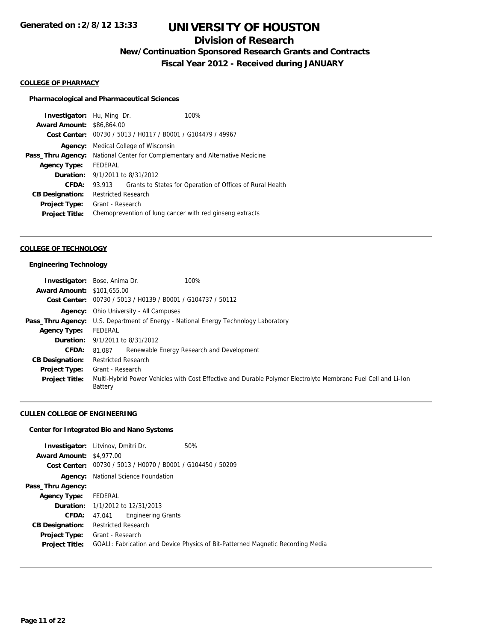## **Division of Research**

**New/Continuation Sponsored Research Grants and Contracts**

**Fiscal Year 2012 - Received during JANUARY**

### **COLLEGE OF PHARMACY**

#### **Pharmacological and Pharmaceutical Sciences**

| <b>Investigator:</b> Hu, Ming Dr. |                                                             |  | 100%                                                      |
|-----------------------------------|-------------------------------------------------------------|--|-----------------------------------------------------------|
| <b>Award Amount: \$86,864.00</b>  |                                                             |  |                                                           |
|                                   | Cost Center: 00730 / 5013 / H0117 / B0001 / G104479 / 49967 |  |                                                           |
| Agency:                           | Medical College of Wisconsin                                |  |                                                           |
| Pass_Thru Agency:                 | National Center for Complementary and Alternative Medicine  |  |                                                           |
| <b>Agency Type:</b>               | FEDERAL                                                     |  |                                                           |
|                                   | <b>Duration:</b> 9/1/2011 to 8/31/2012                      |  |                                                           |
| CFDA:                             | 93.913                                                      |  | Grants to States for Operation of Offices of Rural Health |
| <b>CB Designation:</b>            | <b>Restricted Research</b>                                  |  |                                                           |
| <b>Project Type:</b>              | Grant - Research                                            |  |                                                           |
| <b>Project Title:</b>             |                                                             |  | Chemoprevention of lung cancer with red ginseng extracts  |
|                                   |                                                             |  |                                                           |

#### **COLLEGE OF TECHNOLOGY**

#### **Engineering Technology**

|                                   | 100%<br><b>Investigator:</b> Bose, Anima Dr.                                                                                    |  |  |
|-----------------------------------|---------------------------------------------------------------------------------------------------------------------------------|--|--|
| <b>Award Amount: \$101,655,00</b> |                                                                                                                                 |  |  |
|                                   | Cost Center: 00730 / 5013 / H0139 / B0001 / G104737 / 50112                                                                     |  |  |
|                                   | <b>Agency:</b> Ohio University - All Campuses                                                                                   |  |  |
|                                   | <b>Pass_Thru Agency:</b> U.S. Department of Energy - National Energy Technology Laboratory                                      |  |  |
| <b>Agency Type:</b>               | FEDERAL                                                                                                                         |  |  |
|                                   | <b>Duration:</b> $9/1/2011$ to $8/31/2012$                                                                                      |  |  |
| <b>CFDA:</b>                      | Renewable Energy Research and Development<br>81.087                                                                             |  |  |
| <b>CB Designation:</b>            | <b>Restricted Research</b>                                                                                                      |  |  |
| <b>Project Type:</b>              | Grant - Research                                                                                                                |  |  |
| <b>Project Title:</b>             | Multi-Hybrid Power Vehicles with Cost Effective and Durable Polymer Electrolyte Membrane Fuel Cell and Li-Ion<br><b>Battery</b> |  |  |

## **CULLEN COLLEGE OF ENGINEERING**

#### **Center for Integrated Bio and Nano Systems**

| <b>Investigator:</b> Litvinov, Dmitri Dr. |                                         |                                                             | 50%                                                                             |
|-------------------------------------------|-----------------------------------------|-------------------------------------------------------------|---------------------------------------------------------------------------------|
| <b>Award Amount: \$4,977,00</b>           |                                         |                                                             |                                                                                 |
|                                           |                                         | Cost Center: 00730 / 5013 / H0070 / B0001 / G104450 / 50209 |                                                                                 |
| Agency:                                   |                                         | National Science Foundation                                 |                                                                                 |
| Pass_Thru Agency:                         |                                         |                                                             |                                                                                 |
| <b>Agency Type:</b>                       | FEDERAL                                 |                                                             |                                                                                 |
|                                           | <b>Duration:</b> 1/1/2012 to 12/31/2013 |                                                             |                                                                                 |
| CFDA:                                     | 47.041                                  | <b>Engineering Grants</b>                                   |                                                                                 |
| <b>CB Designation:</b>                    | <b>Restricted Research</b>              |                                                             |                                                                                 |
| <b>Project Type:</b>                      | Grant - Research                        |                                                             |                                                                                 |
| <b>Project Title:</b>                     |                                         |                                                             | GOALI: Fabrication and Device Physics of Bit-Patterned Magnetic Recording Media |
|                                           |                                         |                                                             |                                                                                 |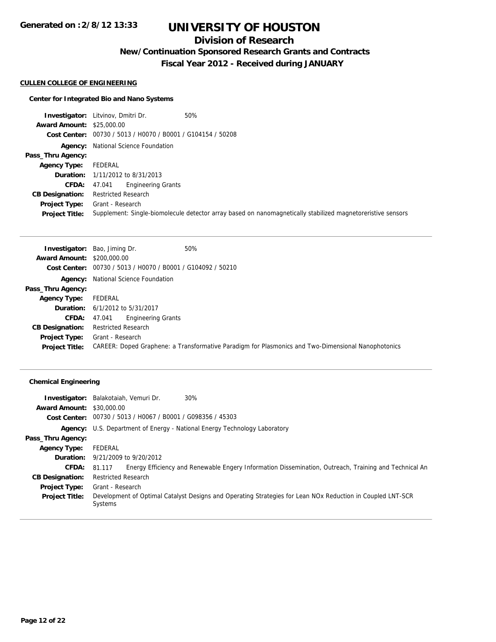## **Division of Research**

**New/Continuation Sponsored Research Grants and Contracts**

**Fiscal Year 2012 - Received during JANUARY**

#### **CULLEN COLLEGE OF ENGINEERING**

## **Center for Integrated Bio and Nano Systems**

|                                  | 50%<br><b>Investigator:</b> Litvinov, Dmitri Dr.                                                            |
|----------------------------------|-------------------------------------------------------------------------------------------------------------|
| <b>Award Amount: \$25,000.00</b> |                                                                                                             |
|                                  | Cost Center: 00730 / 5013 / H0070 / B0001 / G104154 / 50208                                                 |
|                                  | <b>Agency:</b> National Science Foundation                                                                  |
| Pass_Thru Agency:                |                                                                                                             |
| <b>Agency Type:</b>              | FEDERAL                                                                                                     |
|                                  | <b>Duration:</b> 1/11/2012 to 8/31/2013                                                                     |
| <b>CFDA:</b>                     | <b>Engineering Grants</b><br>47.041                                                                         |
| <b>CB Designation:</b>           | <b>Restricted Research</b>                                                                                  |
| Project Type:                    | Grant - Research                                                                                            |
| <b>Project Title:</b>            | Supplement: Single-biomolecule detector array based on nanomagnetically stabilized magnetoreristive sensors |

|                                   | 50%<br><b>Investigator:</b> Bao, Jiming Dr.                                                        |
|-----------------------------------|----------------------------------------------------------------------------------------------------|
| <b>Award Amount: \$200,000.00</b> |                                                                                                    |
|                                   | Cost Center: 00730 / 5013 / H0070 / B0001 / G104092 / 50210                                        |
|                                   | <b>Agency:</b> National Science Foundation                                                         |
| Pass_Thru Agency:                 |                                                                                                    |
| <b>Agency Type:</b>               | FEDERAL                                                                                            |
|                                   | <b>Duration:</b> $6/1/2012$ to $5/31/2017$                                                         |
| CFDA:                             | <b>Engineering Grants</b><br>47.041                                                                |
| <b>CB Designation:</b>            | <b>Restricted Research</b>                                                                         |
| Project Type:                     | Grant - Research                                                                                   |
| <b>Project Title:</b>             | CAREER: Doped Graphene: a Transformative Paradigm for Plasmonics and Two-Dimensional Nanophotonics |

## **Chemical Engineering**

| Investigator:                    | 30%<br>Balakotaiah, Vemuri Dr.                                                                                        |  |  |
|----------------------------------|-----------------------------------------------------------------------------------------------------------------------|--|--|
| <b>Award Amount: \$30,000.00</b> |                                                                                                                       |  |  |
|                                  | <b>Cost Center:</b> $00730 / 5013 / 40067 / 80001 / 6098356 / 45303$                                                  |  |  |
|                                  | Agency: U.S. Department of Energy - National Energy Technology Laboratory                                             |  |  |
| Pass_Thru Agency:                |                                                                                                                       |  |  |
| <b>Agency Type:</b>              | FEDERAL                                                                                                               |  |  |
|                                  | <b>Duration:</b> 9/21/2009 to 9/20/2012                                                                               |  |  |
| <b>CFDA:</b>                     | Energy Efficiency and Renewable Engery Information Dissemination, Outreach, Training and Technical An<br>81.117       |  |  |
| <b>CB Designation:</b>           | <b>Restricted Research</b>                                                                                            |  |  |
| <b>Project Type:</b>             | Grant - Research                                                                                                      |  |  |
| <b>Project Title:</b>            | Development of Optimal Catalyst Designs and Operating Strategies for Lean NOx Reduction in Coupled LNT-SCR<br>Systems |  |  |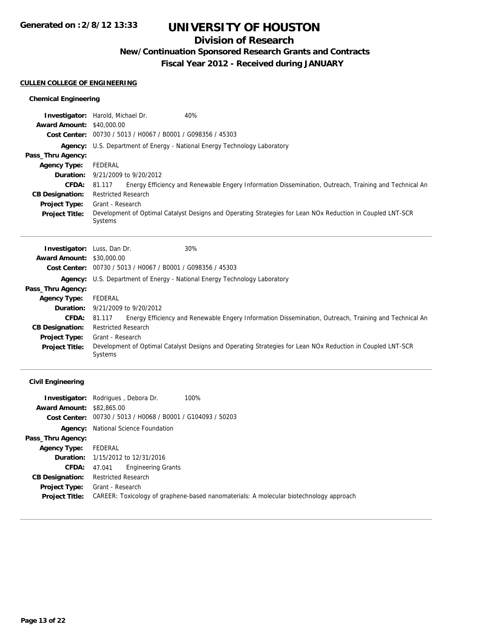## **Division of Research**

**New/Continuation Sponsored Research Grants and Contracts**

**Fiscal Year 2012 - Received during JANUARY**

## **CULLEN COLLEGE OF ENGINEERING**

## **Chemical Engineering**

|                                  | 40%<br><b>Investigator:</b> Harold, Michael Dr.                                                                 |  |  |
|----------------------------------|-----------------------------------------------------------------------------------------------------------------|--|--|
| <b>Award Amount: \$40,000.00</b> |                                                                                                                 |  |  |
|                                  | Cost Center: 00730 / 5013 / H0067 / B0001 / G098356 / 45303                                                     |  |  |
|                                  | <b>Agency:</b> U.S. Department of Energy - National Energy Technology Laboratory                                |  |  |
| Pass_Thru Agency:                |                                                                                                                 |  |  |
| <b>Agency Type:</b>              | FEDERAL                                                                                                         |  |  |
|                                  | <b>Duration:</b> $9/21/2009$ to $9/20/2012$                                                                     |  |  |
| <b>CFDA:</b>                     | Energy Efficiency and Renewable Engery Information Dissemination, Outreach, Training and Technical An<br>81.117 |  |  |
| <b>CB Designation:</b>           | <b>Restricted Research</b>                                                                                      |  |  |
| <b>Project Type:</b>             | Grant - Research                                                                                                |  |  |
| <b>Project Title:</b>            | Development of Optimal Catalyst Designs and Operating Strategies for Lean NOx Reduction in Coupled LNT-SCR      |  |  |
|                                  | Systems                                                                                                         |  |  |
|                                  |                                                                                                                 |  |  |

| <b>Investigator:</b> Luss, Dan Dr. |                            | 30%                                                                                                        |
|------------------------------------|----------------------------|------------------------------------------------------------------------------------------------------------|
| <b>Award Amount: \$30,000.00</b>   |                            |                                                                                                            |
|                                    |                            | Cost Center: 00730 / 5013 / H0067 / B0001 / G098356 / 45303                                                |
| Agency:                            |                            | U.S. Department of Energy - National Energy Technology Laboratory                                          |
| Pass_Thru Agency:                  |                            |                                                                                                            |
| <b>Agency Type:</b>                | FEDERAL                    |                                                                                                            |
|                                    |                            | <b>Duration:</b> 9/21/2009 to 9/20/2012                                                                    |
| <b>CFDA:</b>                       | 81.117                     | Energy Efficiency and Renewable Engery Information Dissemination, Outreach, Training and Technical An      |
| <b>CB Designation:</b>             | <b>Restricted Research</b> |                                                                                                            |
| <b>Project Type:</b>               | Grant - Research           |                                                                                                            |
| <b>Project Title:</b>              | Systems                    | Development of Optimal Catalyst Designs and Operating Strategies for Lean NOx Reduction in Coupled LNT-SCR |

## **Civil Engineering**

|                                  | 100%<br><b>Investigator:</b> Rodrigues, Debora Dr.                                     |
|----------------------------------|----------------------------------------------------------------------------------------|
| <b>Award Amount: \$82,865,00</b> |                                                                                        |
|                                  | <b>Cost Center:</b> $00730 / 5013 / 40068 / 80001 / 6104093 / 50203$                   |
|                                  | <b>Agency:</b> National Science Foundation                                             |
| Pass_Thru Agency:                |                                                                                        |
| <b>Agency Type:</b>              | FEDERAL                                                                                |
|                                  | <b>Duration:</b> 1/15/2012 to 12/31/2016                                               |
| <b>CFDA:</b>                     | Engineering Grants<br>47.041                                                           |
| <b>CB Designation:</b>           | <b>Restricted Research</b>                                                             |
| Project Type:                    | Grant - Research                                                                       |
| <b>Project Title:</b>            | CAREER: Toxicology of graphene-based nanomaterials: A molecular biotechnology approach |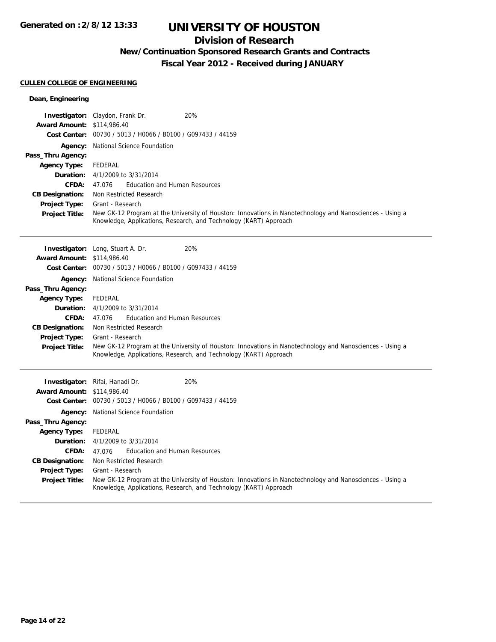## **Division of Research**

**New/Continuation Sponsored Research Grants and Contracts**

**Fiscal Year 2012 - Received during JANUARY**

## **CULLEN COLLEGE OF ENGINEERING**

## **Dean, Engineering**

|                                   | 20%<br><b>Investigator:</b> Claydon, Frank Dr.                                                                                                                                |  |  |
|-----------------------------------|-------------------------------------------------------------------------------------------------------------------------------------------------------------------------------|--|--|
| <b>Award Amount: \$114,986.40</b> |                                                                                                                                                                               |  |  |
|                                   | Cost Center: 00730 / 5013 / H0066 / B0100 / G097433 / 44159                                                                                                                   |  |  |
|                                   | <b>Agency:</b> National Science Foundation                                                                                                                                    |  |  |
| Pass_Thru Agency:                 |                                                                                                                                                                               |  |  |
| <b>Agency Type:</b>               | FEDERAL                                                                                                                                                                       |  |  |
|                                   | <b>Duration:</b> $4/1/2009$ to $3/31/2014$                                                                                                                                    |  |  |
| CFDA:                             | 47.076 Education and Human Resources                                                                                                                                          |  |  |
| <b>CB Designation:</b>            | Non Restricted Research                                                                                                                                                       |  |  |
| <b>Project Type:</b>              | Grant - Research                                                                                                                                                              |  |  |
| <b>Project Title:</b>             | New GK-12 Program at the University of Houston: Innovations in Nanotechnology and Nanosciences - Using a<br>Knowledge, Applications, Research, and Technology (KART) Approach |  |  |

|                                   | <b>Investigator:</b> Long, Stuart A. Dr.<br>20%                                                                                                                               |  |  |  |
|-----------------------------------|-------------------------------------------------------------------------------------------------------------------------------------------------------------------------------|--|--|--|
| <b>Award Amount: \$114,986.40</b> |                                                                                                                                                                               |  |  |  |
|                                   | Cost Center: 00730 / 5013 / H0066 / B0100 / G097433 / 44159                                                                                                                   |  |  |  |
|                                   | <b>Agency:</b> National Science Foundation                                                                                                                                    |  |  |  |
| Pass_Thru Agency:                 |                                                                                                                                                                               |  |  |  |
| <b>Agency Type:</b>               | FEDERAL                                                                                                                                                                       |  |  |  |
|                                   | <b>Duration:</b> 4/1/2009 to 3/31/2014                                                                                                                                        |  |  |  |
| <b>CFDA:</b>                      | Education and Human Resources<br>47.076                                                                                                                                       |  |  |  |
| <b>CB Designation:</b>            | Non Restricted Research                                                                                                                                                       |  |  |  |
| <b>Project Type:</b>              | Grant - Research                                                                                                                                                              |  |  |  |
| <b>Project Title:</b>             | New GK-12 Program at the University of Houston: Innovations in Nanotechnology and Nanosciences - Using a<br>Knowledge, Applications, Research, and Technology (KART) Approach |  |  |  |
|                                   | <b>Investigator:</b> Rifai, Hanadi Dr.<br><b>20%</b>                                                                                                                          |  |  |  |
| <b>Award Amount: \$114,986.40</b> |                                                                                                                                                                               |  |  |  |
| <b>Cost Center:</b>               | 00730 / 5013 / H0066 / B0100 / G097433 / 44159                                                                                                                                |  |  |  |
|                                   | <b>Agency:</b> National Science Foundation                                                                                                                                    |  |  |  |
| Pass_Thru Agency:                 |                                                                                                                                                                               |  |  |  |

| Pass_Thru Agency:     |                                                                                                                                                                               |  |  |
|-----------------------|-------------------------------------------------------------------------------------------------------------------------------------------------------------------------------|--|--|
| <b>Agency Type:</b>   | FEDERAL                                                                                                                                                                       |  |  |
|                       | <b>Duration:</b> $4/1/2009$ to $3/31/2014$                                                                                                                                    |  |  |
| <b>CFDA:</b>          | <b>Education and Human Resources</b><br>47.076                                                                                                                                |  |  |
|                       | <b>CB Designation:</b> Non Restricted Research                                                                                                                                |  |  |
| <b>Project Type:</b>  | Grant - Research                                                                                                                                                              |  |  |
| <b>Project Title:</b> | New GK-12 Program at the University of Houston: Innovations in Nanotechnology and Nanosciences - Using a<br>Knowledge, Applications, Research, and Technology (KART) Approach |  |  |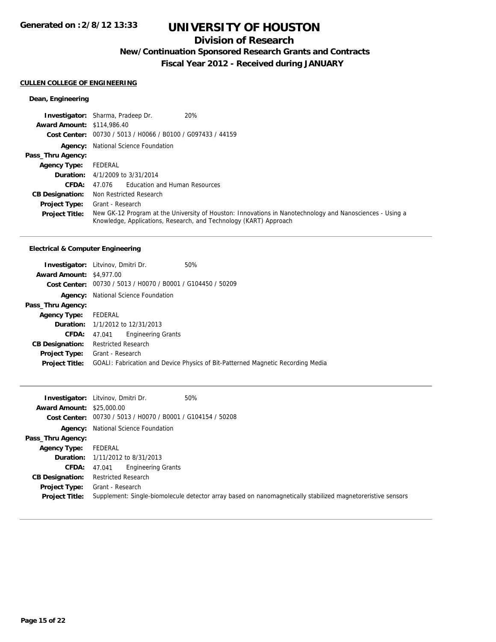## **Division of Research**

**New/Continuation Sponsored Research Grants and Contracts**

**Fiscal Year 2012 - Received during JANUARY**

## **CULLEN COLLEGE OF ENGINEERING**

## **Dean, Engineering**

|                                   | 20%<br><b>Investigator:</b> Sharma, Pradeep Dr.                                                                                                                               |
|-----------------------------------|-------------------------------------------------------------------------------------------------------------------------------------------------------------------------------|
| <b>Award Amount: \$114,986.40</b> |                                                                                                                                                                               |
|                                   | Cost Center: 00730 / 5013 / H0066 / B0100 / G097433 / 44159                                                                                                                   |
|                                   | <b>Agency:</b> National Science Foundation                                                                                                                                    |
| Pass_Thru Agency:                 |                                                                                                                                                                               |
| <b>Agency Type:</b>               | FEDERAL                                                                                                                                                                       |
|                                   | <b>Duration:</b> $4/1/2009$ to $3/31/2014$                                                                                                                                    |
| CFDA:                             | <b>Education and Human Resources</b><br>47.076                                                                                                                                |
| <b>CB Designation:</b>            | Non Restricted Research                                                                                                                                                       |
| <b>Project Type:</b>              | Grant - Research                                                                                                                                                              |
| <b>Project Title:</b>             | New GK-12 Program at the University of Houston: Innovations in Nanotechnology and Nanosciences - Using a<br>Knowledge, Applications, Research, and Technology (KART) Approach |

## **Electrical & Computer Engineering**

|                                 | <b>Investigator:</b> Litvinov, Dmitri Dr. | 50%                                                                             |
|---------------------------------|-------------------------------------------|---------------------------------------------------------------------------------|
| <b>Award Amount: \$4,977.00</b> |                                           |                                                                                 |
|                                 |                                           | Cost Center: 00730 / 5013 / H0070 / B0001 / G104450 / 50209                     |
| Agency:                         | National Science Foundation               |                                                                                 |
| Pass_Thru Agency:               |                                           |                                                                                 |
| <b>Agency Type:</b>             | FEDERAL                                   |                                                                                 |
|                                 | <b>Duration:</b> 1/1/2012 to 12/31/2013   |                                                                                 |
| CFDA:                           | <b>Engineering Grants</b><br>47.041       |                                                                                 |
| <b>CB Designation:</b>          | <b>Restricted Research</b>                |                                                                                 |
| <b>Project Type:</b>            | Grant - Research                          |                                                                                 |
| <b>Project Title:</b>           |                                           | GOALI: Fabrication and Device Physics of Bit-Patterned Magnetic Recording Media |

|                                  | 50%<br><b>Investigator:</b> Litvinov, Dmitri Dr.            |                                                                                                             |
|----------------------------------|-------------------------------------------------------------|-------------------------------------------------------------------------------------------------------------|
| <b>Award Amount: \$25,000.00</b> |                                                             |                                                                                                             |
|                                  | Cost Center: 00730 / 5013 / H0070 / B0001 / G104154 / 50208 |                                                                                                             |
|                                  | <b>Agency:</b> National Science Foundation                  |                                                                                                             |
| Pass_Thru Agency:                |                                                             |                                                                                                             |
| <b>Agency Type:</b>              | FEDERAL                                                     |                                                                                                             |
|                                  | <b>Duration:</b> 1/11/2012 to 8/31/2013                     |                                                                                                             |
| CFDA:                            | <b>Engineering Grants</b><br>47.041                         |                                                                                                             |
| <b>CB Designation:</b>           | <b>Restricted Research</b>                                  |                                                                                                             |
| Project Type:                    | Grant - Research                                            |                                                                                                             |
| <b>Project Title:</b>            |                                                             | Supplement: Single-biomolecule detector array based on nanomagnetically stabilized magnetoreristive sensors |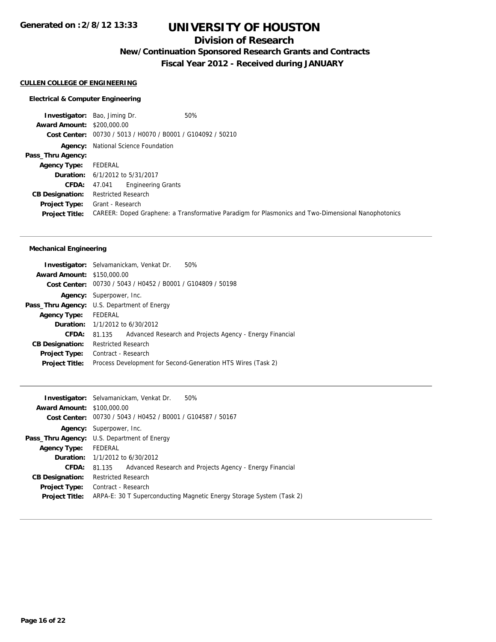## **Division of Research**

**New/Continuation Sponsored Research Grants and Contracts**

**Fiscal Year 2012 - Received during JANUARY**

#### **CULLEN COLLEGE OF ENGINEERING**

#### **Electrical & Computer Engineering**

**Investigator:** Bao, Jiming Dr. 60% **Award Amount:** \$200,000.00 **Cost Center:** 00730 / 5013 / H0070 / B0001 / G104092 / 50210 **Agency:** National Science Foundation **Pass\_Thru Agency: Agency Type:** FEDERAL **Duration:** 6/1/2012 to 5/31/2017 **CFDA:** 47.041 Engineering Grants **CB Designation:** Restricted Research **Project Type:** Grant - Research **Project Title:** CAREER: Doped Graphene: a Transformative Paradigm for Plasmonics and Two-Dimensional Nanophotonics

#### **Mechanical Engineering**

|                                   | Investigator: Selvamanickam, Venkat Dr.<br>50%                     |
|-----------------------------------|--------------------------------------------------------------------|
| <b>Award Amount: \$150,000.00</b> |                                                                    |
|                                   | Cost Center: 00730 / 5043 / H0452 / B0001 / G104809 / 50198        |
|                                   | <b>Agency:</b> Superpower, Inc.                                    |
|                                   | <b>Pass_Thru Agency:</b> U.S. Department of Energy                 |
| <b>Agency Type:</b>               | FEDERAL                                                            |
|                                   | <b>Duration:</b> 1/1/2012 to 6/30/2012                             |
| <b>CFDA:</b>                      | Advanced Research and Projects Agency - Energy Financial<br>81.135 |
| <b>CB Designation:</b>            | <b>Restricted Research</b>                                         |
| Project Type:                     | Contract - Research                                                |
| <b>Project Title:</b>             | Process Development for Second-Generation HTS Wires (Task 2)       |
|                                   |                                                                    |

| 50%<br><b>Investigator:</b> Selvamanickam, Venkat Dr.                |
|----------------------------------------------------------------------|
| <b>Award Amount: \$100,000.00</b>                                    |
| Cost Center: 00730 / 5043 / H0452 / B0001 / G104587 / 50167          |
| <b>Agency:</b> Superpower, Inc.                                      |
| <b>Pass_Thru Agency:</b> U.S. Department of Energy                   |
| FEDERAL                                                              |
| <b>Duration:</b> 1/1/2012 to 6/30/2012                               |
| Advanced Research and Projects Agency - Energy Financial<br>81.135   |
| <b>Restricted Research</b>                                           |
| Contract - Research                                                  |
| ARPA-E: 30 T Superconducting Magnetic Energy Storage System (Task 2) |
|                                                                      |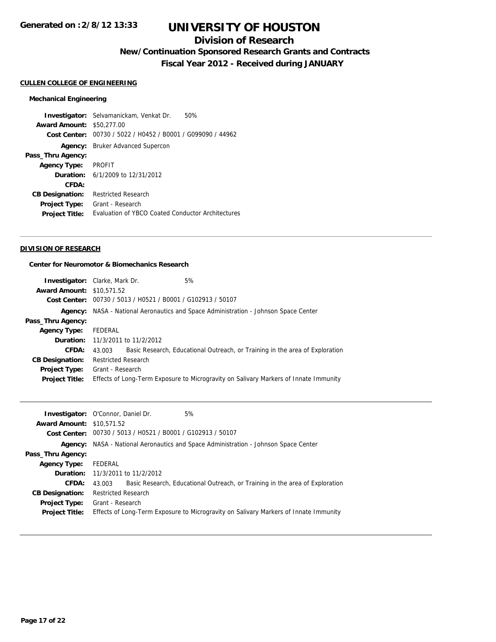## **Division of Research**

**New/Continuation Sponsored Research Grants and Contracts**

**Fiscal Year 2012 - Received during JANUARY**

## **CULLEN COLLEGE OF ENGINEERING**

#### **Mechanical Engineering**

**Investigator:** Selvamanickam, Venkat Dr. 50% **Award Amount:** \$50,277.00 **Cost Center:** 00730 / 5022 / H0452 / B0001 / G099090 / 44962 **Agency:** Bruker Advanced Supercon **Pass\_Thru Agency: Agency Type:** PROFIT **Duration:** 6/1/2009 to 12/31/2012 **CFDA: CB Designation:** Restricted Research **Project Type:** Grant - Research **Project Title:** Evaluation of YBCO Coated Conductor Architectures

### **DIVISION OF RESEARCH**

### **Center for Neuromotor & Biomechanics Research**

|                                  | <b>Investigator:</b> Clarke, Mark Dr.                       | 5%                                                                                   |
|----------------------------------|-------------------------------------------------------------|--------------------------------------------------------------------------------------|
| <b>Award Amount: \$10.571.52</b> |                                                             |                                                                                      |
|                                  | Cost Center: 00730 / 5013 / H0521 / B0001 / G102913 / 50107 |                                                                                      |
|                                  |                                                             | Agency: NASA - National Aeronautics and Space Administration - Johnson Space Center  |
| Pass_Thru Agency:                |                                                             |                                                                                      |
| <b>Agency Type:</b>              | FEDERAL                                                     |                                                                                      |
|                                  | <b>Duration:</b> 11/3/2011 to 11/2/2012                     |                                                                                      |
| CFDA:                            | 43.003                                                      | Basic Research, Educational Outreach, or Training in the area of Exploration         |
| <b>CB Designation:</b>           | <b>Restricted Research</b>                                  |                                                                                      |
| <b>Project Type:</b>             | Grant - Research                                            |                                                                                      |
| <b>Project Title:</b>            |                                                             | Effects of Long-Term Exposure to Microgravity on Salivary Markers of Innate Immunity |
|                                  |                                                             |                                                                                      |

|                                  | 5%<br><b>Investigator:</b> O'Connor, Daniel Dr.                                        |  |
|----------------------------------|----------------------------------------------------------------------------------------|--|
| <b>Award Amount: \$10.571.52</b> |                                                                                        |  |
|                                  | Cost Center: 00730 / 5013 / H0521 / B0001 / G102913 / 50107                            |  |
|                                  | Agency: NASA - National Aeronautics and Space Administration - Johnson Space Center    |  |
| Pass_Thru Agency:                |                                                                                        |  |
| <b>Agency Type:</b>              | FEDERAL                                                                                |  |
|                                  | <b>Duration:</b> 11/3/2011 to 11/2/2012                                                |  |
| <b>CFDA:</b>                     | Basic Research, Educational Outreach, or Training in the area of Exploration<br>43.003 |  |
| <b>CB Designation:</b>           | <b>Restricted Research</b>                                                             |  |
| Project Type:                    | Grant - Research                                                                       |  |
| <b>Project Title:</b>            | Effects of Long-Term Exposure to Microgravity on Salivary Markers of Innate Immunity   |  |
|                                  |                                                                                        |  |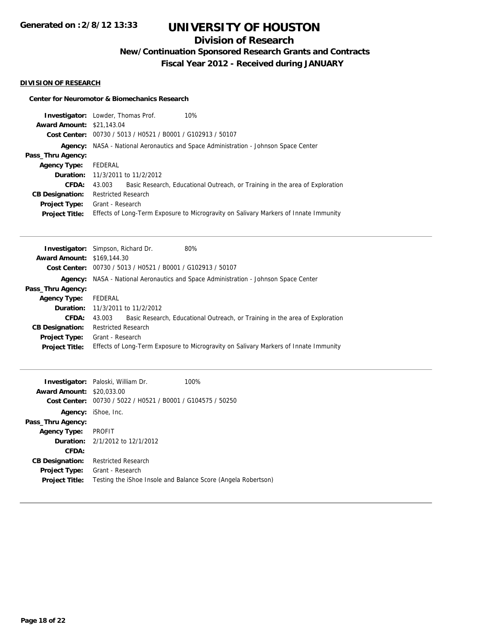## **Division of Research**

**New/Continuation Sponsored Research Grants and Contracts**

**Fiscal Year 2012 - Received during JANUARY**

## **DIVISION OF RESEARCH**

#### **Center for Neuromotor & Biomechanics Research**

|                                  | 10%<br><b>Investigator:</b> Lowder, Thomas Prof.                                           |                                                                                      |
|----------------------------------|--------------------------------------------------------------------------------------------|--------------------------------------------------------------------------------------|
| <b>Award Amount: \$21,143.04</b> |                                                                                            |                                                                                      |
|                                  | Cost Center: 00730 / 5013 / H0521 / B0001 / G102913 / 50107                                |                                                                                      |
|                                  | <b>Agency:</b> NASA - National Aeronautics and Space Administration - Johnson Space Center |                                                                                      |
| Pass_Thru Agency:                |                                                                                            |                                                                                      |
| <b>Agency Type:</b>              | FEDERAL                                                                                    |                                                                                      |
|                                  | <b>Duration:</b> 11/3/2011 to 11/2/2012                                                    |                                                                                      |
| CFDA:                            | 43.003                                                                                     | Basic Research, Educational Outreach, or Training in the area of Exploration         |
| <b>CB Designation:</b>           | <b>Restricted Research</b>                                                                 |                                                                                      |
| <b>Project Type:</b>             | Grant - Research                                                                           |                                                                                      |
| <b>Project Title:</b>            |                                                                                            | Effects of Long-Term Exposure to Microgravity on Salivary Markers of Innate Immunity |

| <b>Investigator:</b> Simpson, Richard Dr. |                            |                                                                      | 80%                                                                                        |
|-------------------------------------------|----------------------------|----------------------------------------------------------------------|--------------------------------------------------------------------------------------------|
| <b>Award Amount: \$169,144.30</b>         |                            |                                                                      |                                                                                            |
|                                           |                            | <b>Cost Center:</b> $00730 / 5013 / 40521 / 80001 / 6102913 / 50107$ |                                                                                            |
|                                           |                            |                                                                      | <b>Agency:</b> NASA - National Aeronautics and Space Administration - Johnson Space Center |
| Pass_Thru Agency:                         |                            |                                                                      |                                                                                            |
| <b>Agency Type:</b>                       | FEDERAL                    |                                                                      |                                                                                            |
|                                           |                            | <b>Duration:</b> 11/3/2011 to 11/2/2012                              |                                                                                            |
| CFDA:                                     | 43.003                     |                                                                      | Basic Research, Educational Outreach, or Training in the area of Exploration               |
| <b>CB Designation:</b>                    | <b>Restricted Research</b> |                                                                      |                                                                                            |
| <b>Project Type:</b>                      | Grant - Research           |                                                                      |                                                                                            |
| <b>Project Title:</b>                     |                            |                                                                      | Effects of Long-Term Exposure to Microgravity on Salivary Markers of Innate Immunity       |

| <b>Award Amount:</b><br>Cost Center: | <b>Investigator:</b> Paloski, William Dr.<br>\$20,033.00<br>00730 / 5022 / H0521 / B0001 / G104575 / 50250 | 100%                                                          |
|--------------------------------------|------------------------------------------------------------------------------------------------------------|---------------------------------------------------------------|
|                                      | Agency: iShoe, Inc.                                                                                        |                                                               |
| Pass_Thru Agency:                    |                                                                                                            |                                                               |
| <b>Agency Type:</b>                  | PROFIT                                                                                                     |                                                               |
|                                      | <b>Duration:</b> $2/1/2012$ to $12/1/2012$                                                                 |                                                               |
| CFDA:                                |                                                                                                            |                                                               |
| <b>CB Designation:</b>               | <b>Restricted Research</b>                                                                                 |                                                               |
| <b>Project Type:</b>                 | Grant - Research                                                                                           |                                                               |
| <b>Project Title:</b>                |                                                                                                            | Testing the iShoe Insole and Balance Score (Angela Robertson) |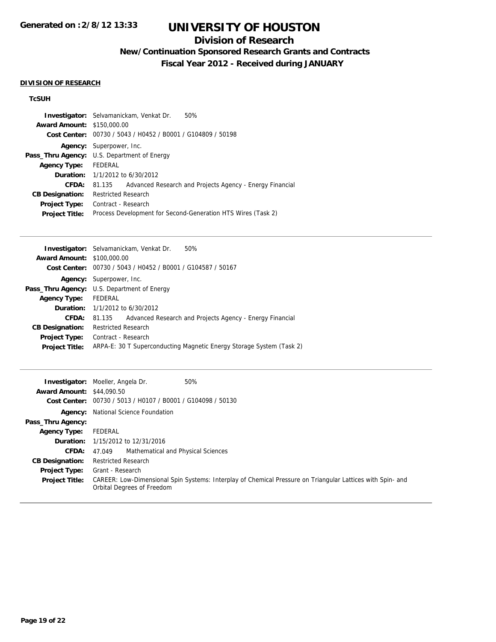## **Division of Research**

**New/Continuation Sponsored Research Grants and Contracts**

**Fiscal Year 2012 - Received during JANUARY**

### **DIVISION OF RESEARCH**

## **TcSUH**

|                                   | <b>Investigator:</b> Selvamanickam, Venkat Dr.<br>50%              |
|-----------------------------------|--------------------------------------------------------------------|
| <b>Award Amount: \$150,000.00</b> |                                                                    |
|                                   | Cost Center: 00730 / 5043 / H0452 / B0001 / G104809 / 50198        |
|                                   | Agency: Superpower, Inc.                                           |
|                                   | <b>Pass_Thru Agency:</b> U.S. Department of Energy                 |
| <b>Agency Type:</b>               | FEDERAL                                                            |
|                                   | <b>Duration:</b> $1/1/2012$ to $6/30/2012$                         |
| <b>CFDA:</b>                      | Advanced Research and Projects Agency - Energy Financial<br>81.135 |
| <b>CB Designation:</b>            | <b>Restricted Research</b>                                         |
| Project Type:                     | Contract - Research                                                |
| <b>Project Title:</b>             | Process Development for Second-Generation HTS Wires (Task 2)       |
|                                   |                                                                    |

|                                   | 50%<br><b>Investigator:</b> Selvamanickam, Venkat Dr.                |
|-----------------------------------|----------------------------------------------------------------------|
| <b>Award Amount: \$100,000.00</b> |                                                                      |
|                                   | Cost Center: 00730 / 5043 / H0452 / B0001 / G104587 / 50167          |
|                                   | <b>Agency:</b> Superpower, Inc.                                      |
|                                   | <b>Pass_Thru Agency:</b> U.S. Department of Energy                   |
| <b>Agency Type:</b>               | FEDERAL                                                              |
|                                   | <b>Duration:</b> $1/1/2012$ to $6/30/2012$                           |
| CFDA:                             | Advanced Research and Projects Agency - Energy Financial<br>81.135   |
| <b>CB Designation:</b>            | <b>Restricted Research</b>                                           |
| Project Type:                     | Contract - Research                                                  |
| <b>Project Title:</b>             | ARPA-E: 30 T Superconducting Magnetic Energy Storage System (Task 2) |
|                                   |                                                                      |

| <b>Award Amount: \$44,090.50</b> | <b>Investigator:</b> Moeller, Angela Dr.<br>50%                                                                                          |  |  |
|----------------------------------|------------------------------------------------------------------------------------------------------------------------------------------|--|--|
|                                  | Cost Center: 00730 / 5013 / H0107 / B0001 / G104098 / 50130                                                                              |  |  |
|                                  | <b>Agency:</b> National Science Foundation                                                                                               |  |  |
| Pass_Thru Agency:                |                                                                                                                                          |  |  |
| <b>Agency Type:</b>              | FEDERAL                                                                                                                                  |  |  |
|                                  | <b>Duration:</b> 1/15/2012 to 12/31/2016                                                                                                 |  |  |
| <b>CFDA:</b>                     | Mathematical and Physical Sciences<br>47.049                                                                                             |  |  |
| <b>CB Designation:</b>           | <b>Restricted Research</b>                                                                                                               |  |  |
| <b>Project Type:</b>             | Grant - Research                                                                                                                         |  |  |
| <b>Project Title:</b>            | CAREER: Low-Dimensional Spin Systems: Interplay of Chemical Pressure on Triangular Lattices with Spin- and<br>Orbital Degrees of Freedom |  |  |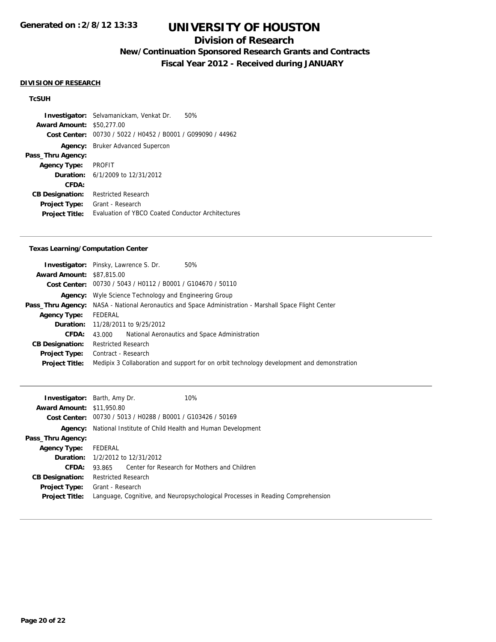## **Division of Research**

**New/Continuation Sponsored Research Grants and Contracts**

**Fiscal Year 2012 - Received during JANUARY**

### **DIVISION OF RESEARCH**

## **TcSUH**

**Investigator:** Selvamanickam, Venkat Dr. 50% **Award Amount:** \$50,277.00 **Cost Center:** 00730 / 5022 / H0452 / B0001 / G099090 / 44962 **Agency:** Bruker Advanced Supercon **Pass\_Thru Agency: Agency Type:** PROFIT **Duration:** 6/1/2009 to 12/31/2012 **CFDA: CB Designation:** Restricted Research **Project Type:** Grant - Research **Project Title:** Evaluation of YBCO Coated Conductor Architectures

#### **Texas Learning/Computation Center**

|                                  | <b>Investigator:</b> Pinsky, Lawrence S. Dr.                 | 50%                                                                                                          |  |
|----------------------------------|--------------------------------------------------------------|--------------------------------------------------------------------------------------------------------------|--|
|                                  |                                                              |                                                                                                              |  |
| <b>Award Amount: \$87,815,00</b> |                                                              |                                                                                                              |  |
|                                  | Cost Center: 00730 / 5043 / H0112 / B0001 / G104670 / 50110  |                                                                                                              |  |
|                                  | <b>Agency:</b> Wyle Science Technology and Engineering Group |                                                                                                              |  |
|                                  |                                                              | <b>Pass_Thru Agency:</b> NASA - National Aeronautics and Space Administration - Marshall Space Flight Center |  |
| <b>Agency Type:</b>              | FEDERAL                                                      |                                                                                                              |  |
|                                  | <b>Duration:</b> 11/28/2011 to 9/25/2012                     |                                                                                                              |  |
| CFDA:                            | 43.000                                                       | National Aeronautics and Space Administration                                                                |  |
| <b>CB Designation:</b>           | <b>Restricted Research</b>                                   |                                                                                                              |  |
| <b>Project Type:</b>             | Contract - Research                                          |                                                                                                              |  |
| <b>Project Title:</b>            |                                                              | Medipix 3 Collaboration and support for on orbit technology development and demonstration                    |  |

| <b>Investigator:</b> Barth, Amy Dr. | 10%                                                                            |  |  |  |
|-------------------------------------|--------------------------------------------------------------------------------|--|--|--|
| <b>Award Amount: \$11,950.80</b>    |                                                                                |  |  |  |
|                                     | Cost Center: 00730 / 5013 / H0288 / B0001 / G103426 / 50169                    |  |  |  |
|                                     | <b>Agency:</b> National Institute of Child Health and Human Development        |  |  |  |
| Pass_Thru Agency:                   |                                                                                |  |  |  |
| <b>Agency Type:</b>                 | FEDERAL                                                                        |  |  |  |
|                                     | <b>Duration:</b> $1/2/2012$ to $12/31/2012$                                    |  |  |  |
| CFDA:                               | Center for Research for Mothers and Children<br>93.865                         |  |  |  |
| <b>CB Designation:</b>              | <b>Restricted Research</b>                                                     |  |  |  |
| <b>Project Type:</b>                | Grant - Research                                                               |  |  |  |
| <b>Project Title:</b>               | Language, Cognitive, and Neuropsychological Processes in Reading Comprehension |  |  |  |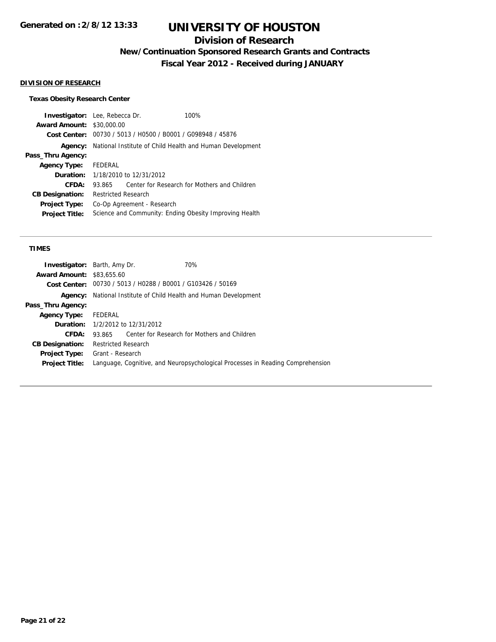## **Division of Research**

**New/Continuation Sponsored Research Grants and Contracts**

**Fiscal Year 2012 - Received during JANUARY**

## **DIVISION OF RESEARCH**

## **Texas Obesity Research Center**

| <b>Investigator:</b> Lee, Rebecca Dr.<br><b>Award Amount: \$30,000.00</b> |                                                             |  | 100%                                         |
|---------------------------------------------------------------------------|-------------------------------------------------------------|--|----------------------------------------------|
|                                                                           | Cost Center: 00730 / 5013 / H0500 / B0001 / G098948 / 45876 |  |                                              |
| Agency:                                                                   | National Institute of Child Health and Human Development    |  |                                              |
| Pass_Thru Agency:                                                         |                                                             |  |                                              |
| <b>Agency Type:</b>                                                       | FEDERAL                                                     |  |                                              |
| Duration:                                                                 | 1/18/2010 to 12/31/2012                                     |  |                                              |
| CFDA:                                                                     | 93.865                                                      |  | Center for Research for Mothers and Children |
| <b>CB Designation:</b>                                                    | <b>Restricted Research</b>                                  |  |                                              |
| <b>Project Type:</b>                                                      | Co-Op Agreement - Research                                  |  |                                              |
| <b>Project Title:</b>                                                     | Science and Community: Ending Obesity Improving Health      |  |                                              |

#### **TIMES**

| <b>Investigator:</b> Barth, Amy Dr. |                                                                                |                                             | 70%                                          |  |
|-------------------------------------|--------------------------------------------------------------------------------|---------------------------------------------|----------------------------------------------|--|
| <b>Award Amount: \$83,655.60</b>    |                                                                                |                                             |                                              |  |
|                                     | Cost Center: 00730 / 5013 / H0288 / B0001 / G103426 / 50169                    |                                             |                                              |  |
| Agency:                             | National Institute of Child Health and Human Development                       |                                             |                                              |  |
| Pass_Thru Agency:                   |                                                                                |                                             |                                              |  |
| <b>Agency Type:</b>                 | FEDERAL                                                                        |                                             |                                              |  |
|                                     |                                                                                | <b>Duration:</b> $1/2/2012$ to $12/31/2012$ |                                              |  |
| CFDA:                               | 93.865                                                                         |                                             | Center for Research for Mothers and Children |  |
| <b>CB Designation:</b>              | <b>Restricted Research</b>                                                     |                                             |                                              |  |
| <b>Project Type:</b>                | Grant - Research                                                               |                                             |                                              |  |
| <b>Project Title:</b>               | Language, Cognitive, and Neuropsychological Processes in Reading Comprehension |                                             |                                              |  |
|                                     |                                                                                |                                             |                                              |  |